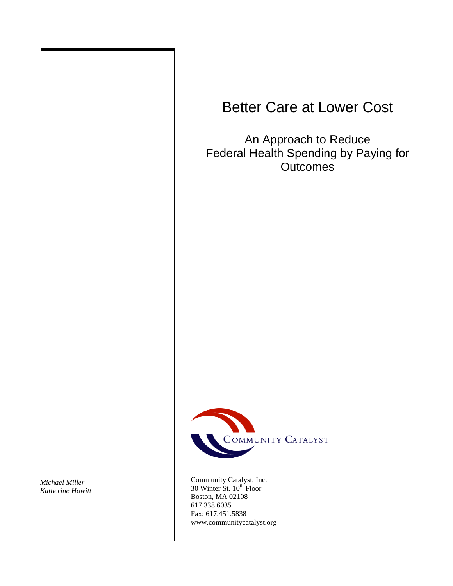# Better Care at Lower Cost

An Approach to Reduce Federal Health Spending by Paying for **Outcomes** 



Community Catalyst, Inc.  $30$  Winter St.  $10^{th}$  Floor Boston, MA 02108 617.338.6035 Fax: 617.451.5838 www.communitycatalyst.org

*Michael Miller Katherine Howitt*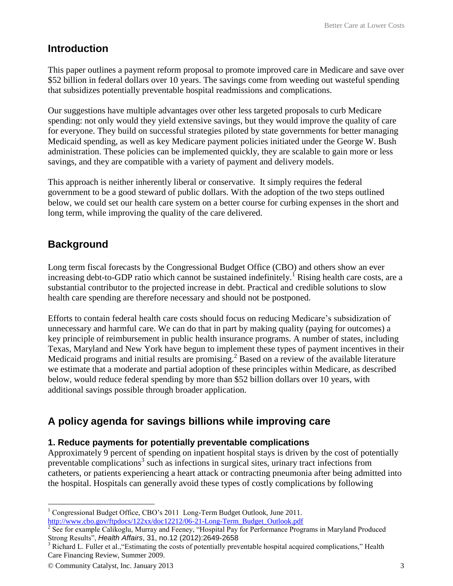## **Introduction**

This paper outlines a payment reform proposal to promote improved care in Medicare and save over \$52 billion in federal dollars over 10 years. The savings come from weeding out wasteful spending that subsidizes potentially preventable hospital readmissions and complications.

Our suggestions have multiple advantages over other less targeted proposals to curb Medicare spending: not only would they yield extensive savings, but they would improve the quality of care for everyone. They build on successful strategies piloted by state governments for better managing Medicaid spending, as well as key Medicare payment policies initiated under the George W. Bush administration. These policies can be implemented quickly, they are scalable to gain more or less savings, and they are compatible with a variety of payment and delivery models.

This approach is neither inherently liberal or conservative. It simply requires the federal government to be a good steward of public dollars. With the adoption of the two steps outlined below, we could set our health care system on a better course for curbing expenses in the short and long term, while improving the quality of the care delivered.

# **Background**

Long term fiscal forecasts by the Congressional Budget Office (CBO) and others show an ever increasing debt-to-GDP ratio which cannot be sustained indefinitely.<sup>1</sup> Rising health care costs, are a substantial contributor to the projected increase in debt. Practical and credible solutions to slow health care spending are therefore necessary and should not be postponed.

Efforts to contain federal health care costs should focus on reducing Medicare's subsidization of unnecessary and harmful care. We can do that in part by making quality (paying for outcomes) a key principle of reimbursement in public health insurance programs. A number of states, including Texas, Maryland and New York have begun to implement these types of payment incentives in their Medicaid programs and initial results are promising.<sup>2</sup> Based on a review of the available literature we estimate that a moderate and partial adoption of these principles within Medicare, as described below, would reduce federal spending by more than \$52 billion dollars over 10 years, with additional savings possible through broader application.

# **A policy agenda for savings billions while improving care**

#### **1. Reduce payments for potentially preventable complications**

Approximately 9 percent of spending on inpatient hospital stays is driven by the cost of potentially preventable complications<sup>3</sup> such as infections in surgical sites, urinary tract infections from catheters, or patients experiencing a heart attack or contracting pneumonia after being admitted into the hospital. Hospitals can generally avoid these types of costly complications by following

 $\overline{a}$ <sup>1</sup> Congressional Budget Office, CBO's 2011 Long-Term Budget Outlook, June 2011. [http://www.cbo.gov/ftpdocs/122xx/doc12212/06-21-Long-Term\\_Budget\\_Outlook.pdf](http://www.cbo.gov/ftpdocs/122xx/doc12212/06-21-Long-Term_Budget_Outlook.pdf)

<sup>&</sup>lt;sup>2</sup> See for example Calikoglu, Murray and Feeney, "Hospital Pay for Performance Programs in Maryland Produced Strong Results", *Health Affairs*, 31, no.12 (2012):2649-2658

 $3$  Richard L. Fuller et al., "Estimating the costs of potentially preventable hospital acquired complications," Health Care Financing Review, Summer 2009.

<sup>©</sup> Community Catalyst, Inc. January 2013 3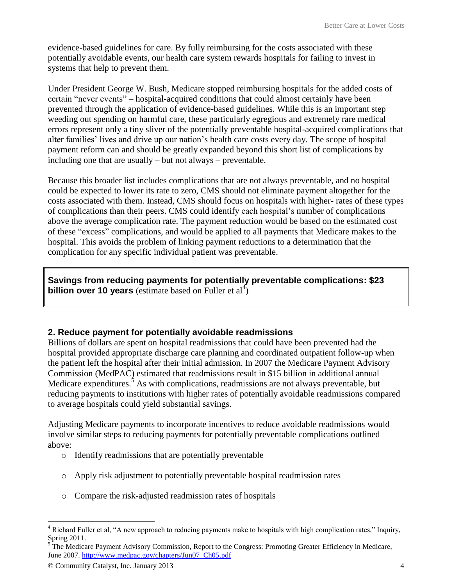evidence-based guidelines for care. By fully reimbursing for the costs associated with these potentially avoidable events, our health care system rewards hospitals for failing to invest in systems that help to prevent them.

Under President George W. Bush, Medicare stopped reimbursing hospitals for the added costs of certain "never events" – hospital-acquired conditions that could almost certainly have been prevented through the application of evidence-based guidelines. While this is an important step weeding out spending on harmful care, these particularly egregious and extremely rare medical errors represent only a tiny sliver of the potentially preventable hospital-acquired complications that alter families' lives and drive up our nation's health care costs every day. The scope of hospital payment reform can and should be greatly expanded beyond this short list of complications by including one that are usually – but not always – preventable.

Because this broader list includes complications that are not always preventable, and no hospital could be expected to lower its rate to zero, CMS should not eliminate payment altogether for the costs associated with them. Instead, CMS should focus on hospitals with higher- rates of these types of complications than their peers. CMS could identify each hospital's number of complications above the average complication rate. The payment reduction would be based on the estimated cost of these "excess" complications, and would be applied to all payments that Medicare makes to the hospital. This avoids the problem of linking payment reductions to a determination that the complication for any specific individual patient was preventable.

**Savings from reducing payments for potentially preventable complications: \$23 billion over 10 years** (estimate based on Fuller et  $al<sup>4</sup>$ )

#### **2. Reduce payment for potentially avoidable readmissions**

Billions of dollars are spent on hospital readmissions that could have been prevented had the hospital provided appropriate discharge care planning and coordinated outpatient follow-up when the patient left the hospital after their initial admission. In 2007 the Medicare Payment Advisory Commission (MedPAC) estimated that readmissions result in \$15 billion in additional annual Medicare expenditures.<sup>5</sup> As with complications, readmissions are not always preventable, but reducing payments to institutions with higher rates of potentially avoidable readmissions compared to average hospitals could yield substantial savings.

Adjusting Medicare payments to incorporate incentives to reduce avoidable readmissions would involve similar steps to reducing payments for potentially preventable complications outlined above:

- o Identify readmissions that are potentially preventable
- o Apply risk adjustment to potentially preventable hospital readmission rates
- o Compare the risk-adjusted readmission rates of hospitals

 $\overline{a}$  $4$  Richard Fuller et al, "A new approach to reducing payments make to hospitals with high complication rates," Inquiry, Spring 2011.

<sup>&</sup>lt;sup>5</sup> The Medicare Payment Advisory Commission, Report to the Congress: Promoting Greater Efficiency in Medicare, June 2007[. http://www.medpac.gov/chapters/Jun07\\_Ch05.pdf](http://www.medpac.gov/chapters/Jun07_Ch05.pdf)

<sup>©</sup> Community Catalyst, Inc. January 2013 4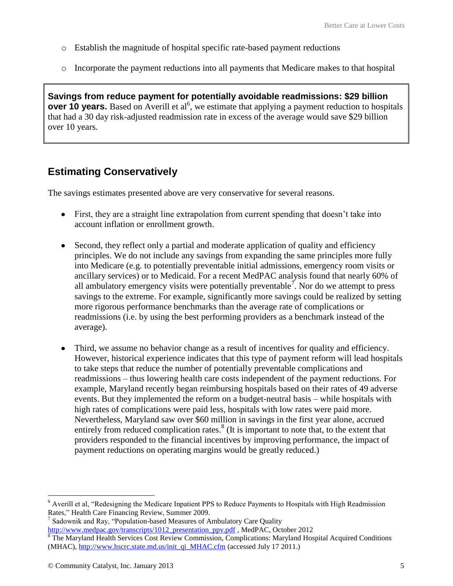- o Establish the magnitude of hospital specific rate-based payment reductions
- o Incorporate the payment reductions into all payments that Medicare makes to that hospital

**Savings from reduce payment for potentially avoidable readmissions: \$29 billion over 10 years.** Based on Averill et al<sup>6</sup>, we estimate that applying a payment reduction to hospitals that had a 30 day risk-adjusted readmission rate in excess of the average would save \$29 billion over 10 years.

#### **Estimating Conservatively**

The savings estimates presented above are very conservative for several reasons.

- First, they are a straight line extrapolation from current spending that doesn't take into account inflation or enrollment growth.
- Second, they reflect only a partial and moderate application of quality and efficiency  $\bullet$ principles. We do not include any savings from expanding the same principles more fully into Medicare (e.g. to potentially preventable initial admissions, emergency room visits or ancillary services) or to Medicaid. For a recent MedPAC analysis found that nearly 60% of all ambulatory emergency visits were potentially preventable<sup>7</sup>. Nor do we attempt to press savings to the extreme. For example, significantly more savings could be realized by setting more rigorous performance benchmarks than the average rate of complications or readmissions (i.e. by using the best performing providers as a benchmark instead of the average).
- Third, we assume no behavior change as a result of incentives for quality and efficiency. However, historical experience indicates that this type of payment reform will lead hospitals to take steps that reduce the number of potentially preventable complications and readmissions – thus lowering health care costs independent of the payment reductions. For example, Maryland recently began reimbursing hospitals based on their rates of 49 adverse events. But they implemented the reform on a budget-neutral basis – while hospitals with high rates of complications were paid less, hospitals with low rates were paid more. Nevertheless, Maryland saw over \$60 million in savings in the first year alone, accrued entirely from reduced complication rates. $8$  (It is important to note that, to the extent that providers responded to the financial incentives by improving performance, the impact of payment reductions on operating margins would be greatly reduced.)

 $\overline{a}$ 

<sup>&</sup>lt;sup>6</sup> Averill et al, "Redesigning the Medicare Inpatient PPS to Reduce Payments to Hospitals with High Readmission Rates," Health Care Financing Review, Summer 2009.

<sup>7</sup> Sadownik and Ray, "Population-based Measures of Ambulatory Care Quality [http://www.medpac.gov/transcripts/1012\\_presentation\\_ppv.pdf](http://www.medpac.gov/transcripts/1012_presentation_ppv.pdf), MedPAC, October 2012

 $8$  The Maryland Health Services Cost Review Commission, Complications: Maryland Hospital Acquired Conditions (MHAC), [http://www.hscrc.state.md.us/init\\_qi\\_MHAC.cfm](http://www.hscrc.state.md.us/init_qi_MHAC.cfm) (accessed July 17 2011.)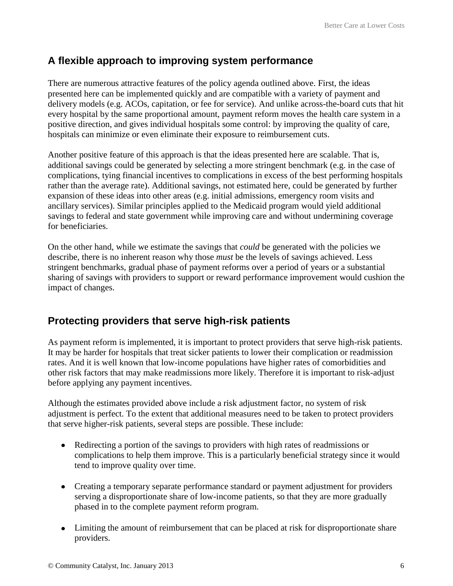## **A flexible approach to improving system performance**

There are numerous attractive features of the policy agenda outlined above. First, the ideas presented here can be implemented quickly and are compatible with a variety of payment and delivery models (e.g. ACOs, capitation, or fee for service). And unlike across-the-board cuts that hit every hospital by the same proportional amount, payment reform moves the health care system in a positive direction, and gives individual hospitals some control: by improving the quality of care, hospitals can minimize or even eliminate their exposure to reimbursement cuts.

Another positive feature of this approach is that the ideas presented here are scalable. That is, additional savings could be generated by selecting a more stringent benchmark (e.g. in the case of complications, tying financial incentives to complications in excess of the best performing hospitals rather than the average rate). Additional savings, not estimated here, could be generated by further expansion of these ideas into other areas (e.g. initial admissions, emergency room visits and ancillary services). Similar principles applied to the Medicaid program would yield additional savings to federal and state government while improving care and without undermining coverage for beneficiaries.

On the other hand, while we estimate the savings that *could* be generated with the policies we describe, there is no inherent reason why those *must* be the levels of savings achieved. Less stringent benchmarks, gradual phase of payment reforms over a period of years or a substantial sharing of savings with providers to support or reward performance improvement would cushion the impact of changes.

## **Protecting providers that serve high-risk patients**

As payment reform is implemented, it is important to protect providers that serve high-risk patients. It may be harder for hospitals that treat sicker patients to lower their complication or readmission rates. And it is well known that low-income populations have higher rates of comorbidities and other risk factors that may make readmissions more likely. Therefore it is important to risk-adjust before applying any payment incentives.

Although the estimates provided above include a risk adjustment factor, no system of risk adjustment is perfect. To the extent that additional measures need to be taken to protect providers that serve higher-risk patients, several steps are possible. These include:

- Redirecting a portion of the savings to providers with high rates of readmissions or complications to help them improve. This is a particularly beneficial strategy since it would tend to improve quality over time.
- Creating a temporary separate performance standard or payment adjustment for providers serving a disproportionate share of low-income patients, so that they are more gradually phased in to the complete payment reform program.
- Limiting the amount of reimbursement that can be placed at risk for disproportionate share providers.